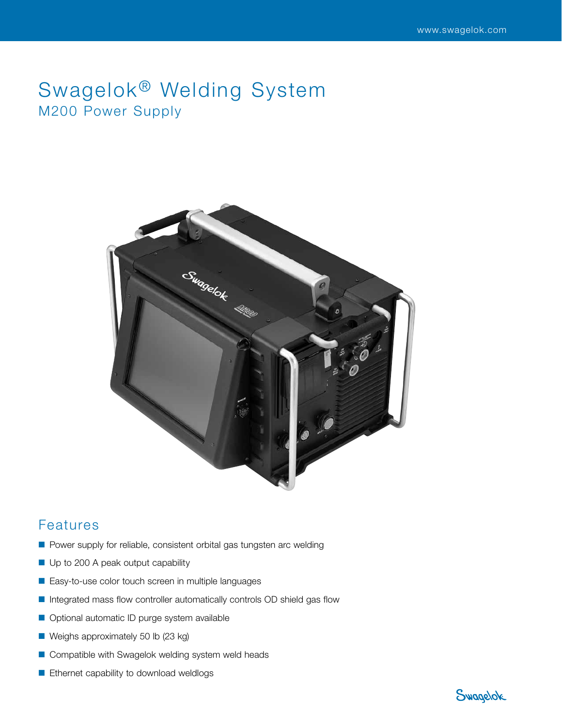# Swagelok<sup>®</sup> Welding System M200 Power Supply



# Features

- Power supply for reliable, consistent orbital gas tungsten arc welding
- Up to 200 A peak output capability
- Easy-to-use color touch screen in multiple languages
- Integrated mass flow controller automatically controls OD shield gas flow
- Optional automatic ID purge system available
- Weighs approximately 50 lb (23 kg)
- Compatible with Swagelok welding system weld heads
- Ethernet capability to download weldlogs

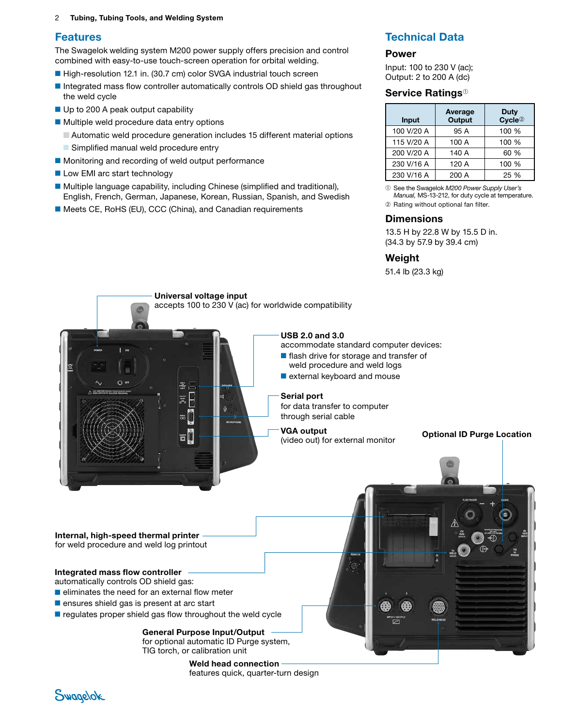#### 2 Tubing, Tubing Tools, and Welding System

### Features

The Swagelok welding system M200 power supply offers precision and control combined with easy-to-use touch-screen operation for orbital welding.

- High-resolution 12.1 in. (30.7 cm) color SVGA industrial touch screen
- Integrated mass flow controller automatically controls OD shield gas throughout the weld cycle
- Up to 200 A peak output capability
- Multiple weld procedure data entry options
	- Automatic weld procedure generation includes 15 different material options
	- Simplified manual weld procedure entry
- Monitoring and recording of weld output performance
- Low EMI arc start technology
- Multiple language capability, including Chinese (simplified and traditional), English, French, German, Japanese, Korean, Russian, Spanish, and Swedish
- Meets CE, RoHS (EU), CCC (China), and Canadian requirements

## Technical Data

#### Power

Input: 100 to 230 V (ac); Output: 2 to 200 A (dc)

#### Service Ratings<sup><sub>①</sup></sup></sub>

| Input      | Average<br><b>Output</b> | Duty<br>Cycle <sup>2</sup> |  |
|------------|--------------------------|----------------------------|--|
| 100 V/20 A | 95 A                     | 100 %                      |  |
| 115 V/20 A | 100 A                    | 100 %                      |  |
| 200 V/20 A | 140 A                    | 60 %                       |  |
| 230 V/16 A | 120 A                    | 100 %                      |  |
| 230 V/16 A | 200 A                    | 25 %                       |  |

➀ See the Swagelok *M200 Power Supply User's Manual,* MS-13-212, for duty cycle at temperature.

➁ Rating without optional fan filter.

#### **Dimensions**

13.5 H by 22.8 W by 15.5 D in. (34.3 by 57.9 by 39.4 cm)

#### **Weight**

51.4 lb (23.3 kg)



Weld head connection features quick, quarter-turn design

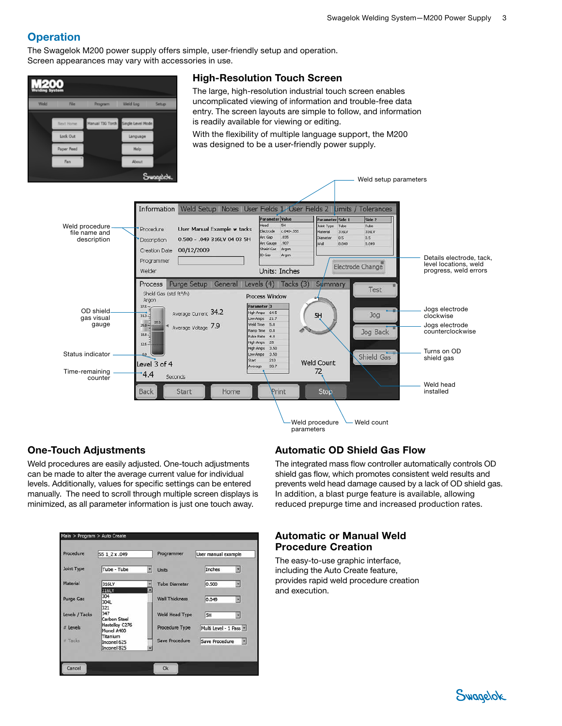# **Operation**

The Swagelok M200 power supply offers simple, user-friendly setup and operation. Screen appearances may vary with accessories in use.



## One-Touch Adjustments

Weld procedures are easily adjusted. One-touch adjustments can be made to alter the average current value for individual levels. Additionally, values for specific settings can be entered manually. The need to scroll through multiple screen displays is minimized, as all parameter information is just one touch away.

| Procedure        | SS 1 2 x .049                          | Programmer            | User manual example    |
|------------------|----------------------------------------|-----------------------|------------------------|
| Joint Type       | Tube - Tube                            | <b>Units</b>          | Inches                 |
| Material         | 316LV<br>316LV                         | <b>Tube Diameter</b>  | 0.500<br>뇌             |
| <b>Purge Gas</b> | 304<br>304L                            | <b>Wall Thickness</b> | 0.049<br>회             |
| Levels / Tacks   | 321<br>347<br>Carbon Steel             | Weld Head Type        | 5H<br>회                |
| # Levels         | <b>Hastelloy C276</b><br>Monel A400    | Procedure Type        | Multi Level - 1 Pass - |
| # Tacks          | Titanium<br>Inconel 625<br>Inconel 825 | Save Procedure        | Save Procedure<br>z    |

## Automatic OD Shield Gas Flow

The integrated mass flow controller automatically controls OD shield gas flow, which promotes consistent weld results and prevents weld head damage caused by a lack of OD shield gas. In addition, a blast purge feature is available, allowing reduced prepurge time and increased production rates.

## Automatic or Manual Weld Procedure Creation

The easy-to-use graphic interface, including the Auto Create feature, provides rapid weld procedure creation and execution.

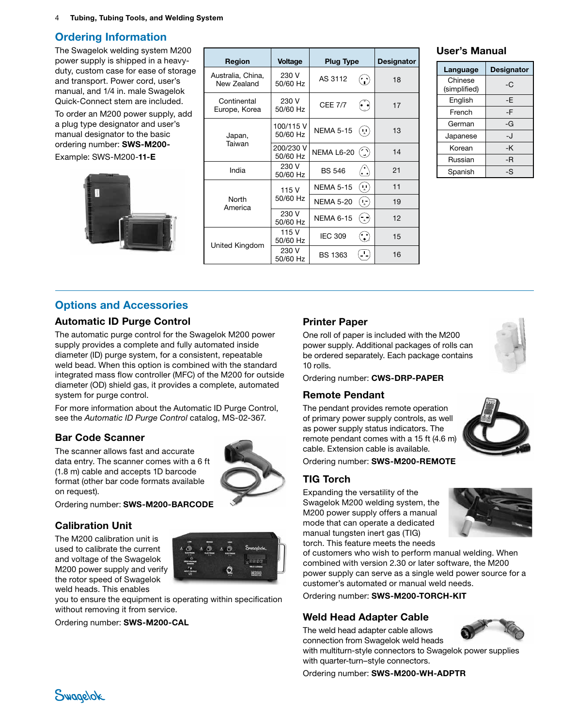4 Tubing, Tubing Tools, and Welding System

## Ordering Information

The Swagelok welding system M200 power supply is shipped in a heavyduty, custom case for ease of storage and transport. Power cord, user's manual, and 1/4 in. male Swagelok Quick-Connect stem are included.

To order an M200 power supply, add a plug type designator and user's manual designator to the basic ordering number: SWS-M200-

Example: SWS-M200-11-E



| Region                           | <b>Voltage</b>        | <b>Plug Type</b> |                            | <b>Designator</b> |
|----------------------------------|-----------------------|------------------|----------------------------|-------------------|
| Australia, China,<br>New Zealand | 230 V<br>50/60 Hz     | AS 3112          | $\hat{\cdot}$ )            | 18                |
| Continental<br>Europe, Korea     | 230 V<br>50/60 Hz     | <b>CEE 7/7</b>   | ピリ                         | 17                |
| Japan,<br>Taiwan                 | 100/115 V<br>50/60 Hz | <b>NEMA 5-15</b> | $(\cdot, \cdot)$           | 13                |
|                                  | 200/230 V<br>50/60 Hz | NEMA L6-20       | $\binom{1}{2}$             | 14                |
| India                            | 230 V<br>50/60 Hz     | <b>BS 546</b>    | $\langle \cdot \rangle$    | 21                |
| North<br>America                 | 115 V                 | <b>NEMA 5-15</b> | ( ا                        | 11                |
|                                  | 50/60 Hz              | <b>NEMA 5-20</b> | $(\cdot)$                  | 19                |
|                                  | 230 V<br>50/60 Hz     | <b>NEMA 6-15</b> | $\left(\cdot,\cdot\right)$ | 12                |
| United Kingdom                   | 115 V<br>50/60 Hz     | <b>IEC 309</b>   | $(\cdot)$                  | 15                |
|                                  | 230 V<br>50/60 Hz     | <b>BS 1363</b>   |                            | 16                |

#### User's Manual

| Language                | <b>Designator</b> |
|-------------------------|-------------------|
| Chinese<br>(simplified) | -C                |
| English                 | -E                |
| French                  | -F                |
| German                  | -G                |
| Japanese                | -J                |
| Korean                  | -K                |
| Russian                 | -R                |
| Spanish                 | -S                |

## Options and Accessories

#### Automatic ID Purge Control

The automatic purge control for the Swagelok M200 power supply provides a complete and fully automated inside diameter (ID) purge system, for a consistent, repeatable weld bead. When this option is combined with the standard integrated mass flow controller (MFC) of the M200 for outside diameter (OD) shield gas, it provides a complete, automated system for purge control.

For more information about the Automatic ID Purge Control, see the *Automatic ID Purge Control* catalog, [MS-02-3](http://www.swagelok.com/downloads/webcatalogs/EN/MS-02-342.PDF)67.

## Bar Code Scanner

The scanner allows fast and accurate data entry. The scanner comes with a 6 ft (1.8 m) cable and accepts 1D barcode format (other bar code formats available on request).



Ordering number: SWS-M200-BARCODE

#### Calibration Unit

The M200 calibration unit is used to calibrate the current and voltage of the Swagelok M200 power supply and verify the rotor speed of Swagelok weld heads. This enables



you to ensure the equipment is operating within specification without removing it from service.

Ordering number: SWS-M200-CAL

## Printer Paper

One roll of paper is included with the M200 power supply. Additional packages of rolls can be ordered separately. Each package contains 10 rolls.



Ordering number: CWS-DRP-PAPER

#### Remote Pendant

The pendant provides remote operation of primary power supply controls, as well as power supply status indicators. The remote pendant comes with a 15 ft (4.6 m) cable. Extension cable is available.



Ordering number: SWS-M200-REMOTE

#### TIG Torch

Expanding the versatility of the Swagelok M200 welding system, the M200 power supply offers a manual mode that can operate a dedicated manual tungsten inert gas (TIG) torch. This feature meets the needs



of customers who wish to perform manual welding. When combined with version 2.30 or later software, the M200 power supply can serve as a single weld power source for a customer's automated or manual weld needs.

Ordering number: SWS-M200-TORCH-KIT

#### Weld Head Adapter Cable

The weld head adapter cable allows connection from Swagelok weld heads

with multiturn-style connectors to Swagelok power supplies with quarter-turn–style connectors.

Ordering number: SWS-M200-WH-ADPTR